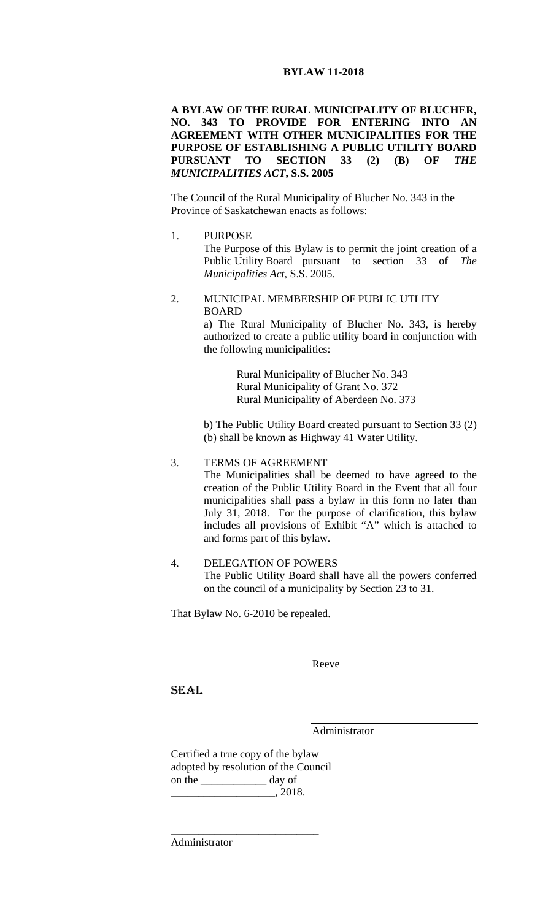# **BYLAW 11-2018**

**A BYLAW OF THE RURAL MUNICIPALITY OF BLUCHER, NO. 343 TO PROVIDE FOR ENTERING INTO AN AGREEMENT WITH OTHER MUNICIPALITIES FOR THE PURPOSE OF ESTABLISHING A PUBLIC UTILITY BOARD PURSUANT TO SECTION 33 (2) (B) OF** *THE MUNICIPALITIES ACT***, S.S. 2005** 

The Council of the Rural Municipality of Blucher No. 343 in the Province of Saskatchewan enacts as follows:

1. PURPOSE

The Purpose of this Bylaw is to permit the joint creation of a Public Utility Board pursuant to section 33 of *The Municipalities Act*, S.S. 2005.

## 2. MUNICIPAL MEMBERSHIP OF PUBLIC UTLITY **BOARD**

a) The Rural Municipality of Blucher No. 343, is hereby authorized to create a public utility board in conjunction with the following municipalities:

> Rural Municipality of Blucher No. 343 Rural Municipality of Grant No. 372 Rural Municipality of Aberdeen No. 373

b) The Public Utility Board created pursuant to Section 33 (2) (b) shall be known as Highway 41 Water Utility.

## 3. TERMS OF AGREEMENT The Municipalities shall be deemed to have agreed to the creation of the Public Utility Board in the Event that all four municipalities shall pass a bylaw in this form no later than July 31, 2018. For the purpose of clarification, this bylaw includes all provisions of Exhibit "A" which is attached to and forms part of this bylaw.

## 4. DELEGATION OF POWERS The Public Utility Board shall have all the powers conferred on the council of a municipality by Section 23 to 31.

That Bylaw No. 6-2010 be repealed.

Reeve

SEAL

Administrator

Certified a true copy of the bylaw adopted by resolution of the Council on the \_\_\_\_\_\_\_\_\_\_\_\_ day of  $\frac{1}{2018.1}$ 

\_\_\_\_\_\_\_\_\_\_\_\_\_\_\_\_\_\_\_\_\_\_\_\_\_\_\_

Administrator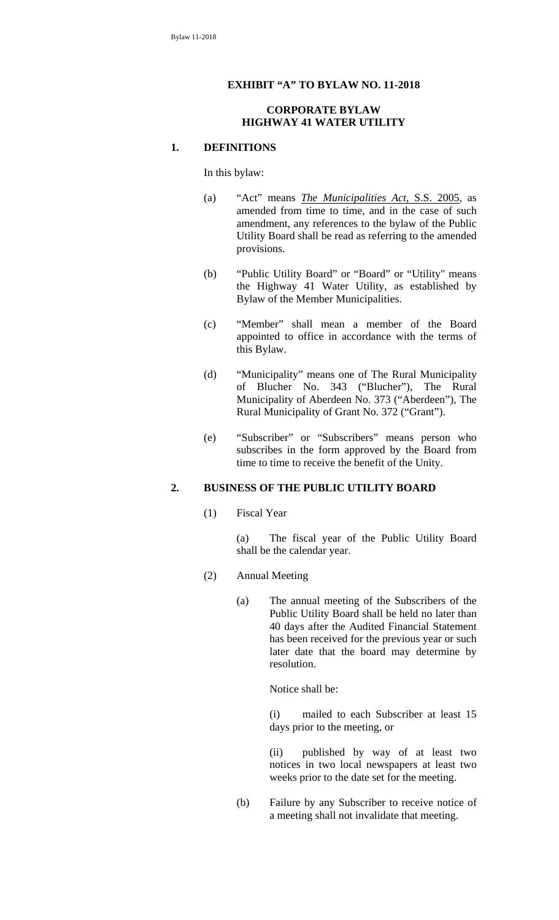## **EXHIBIT "A" TO BYLAW NO. 11-2018**

#### **CORPORATE BYLAW HIGHWAY 41 WATER UTILITY**

#### **1. DEFINITIONS**

In this bylaw:

- (a) "Act" means *The Municipalities Act*, S.S. 2005, as amended from time to time, and in the case of such amendment, any references to the bylaw of the Public Utility Board shall be read as referring to the amended provisions.
- (b) "Public Utility Board" or "Board" or "Utility" means the Highway 41 Water Utility, as established by Bylaw of the Member Municipalities.
- (c) "Member" shall mean a member of the Board appointed to office in accordance with the terms of this Bylaw.
- (d) "Municipality" means one of The Rural Municipality of Blucher No. 343 ("Blucher"), The Rural Municipality of Aberdeen No. 373 ("Aberdeen"), The Rural Municipality of Grant No. 372 ("Grant").
- (e) "Subscriber" or "Subscribers" means person who subscribes in the form approved by the Board from time to time to receive the benefit of the Unity.

#### **2. BUSINESS OF THE PUBLIC UTILITY BOARD**

(1) Fiscal Year

(a) The fiscal year of the Public Utility Board shall be the calendar year.

- (2) Annual Meeting
	- (a) The annual meeting of the Subscribers of the Public Utility Board shall be held no later than 40 days after the Audited Financial Statement has been received for the previous year or such later date that the board may determine by resolution.

Notice shall be:

(i) mailed to each Subscriber at least 15 days prior to the meeting, or

(ii) published by way of at least two notices in two local newspapers at least two weeks prior to the date set for the meeting.

(b) Failure by any Subscriber to receive notice of a meeting shall not invalidate that meeting.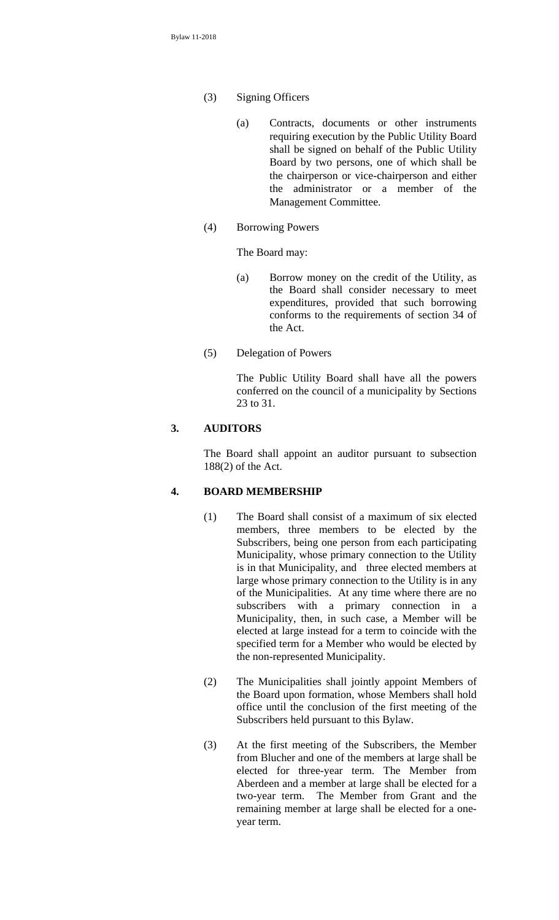- (3) Signing Officers
	- (a) Contracts, documents or other instruments requiring execution by the Public Utility Board shall be signed on behalf of the Public Utility Board by two persons, one of which shall be the chairperson or vice-chairperson and either the administrator or a member of the Management Committee.
- (4) Borrowing Powers

The Board may:

- (a) Borrow money on the credit of the Utility, as the Board shall consider necessary to meet expenditures, provided that such borrowing conforms to the requirements of section 34 of the Act.
- (5) Delegation of Powers

The Public Utility Board shall have all the powers conferred on the council of a municipality by Sections 23 to 31.

#### **3. AUDITORS**

The Board shall appoint an auditor pursuant to subsection 188(2) of the Act.

## **4. BOARD MEMBERSHIP**

- (1) The Board shall consist of a maximum of six elected members, three members to be elected by the Subscribers, being one person from each participating Municipality, whose primary connection to the Utility is in that Municipality, and three elected members at large whose primary connection to the Utility is in any of the Municipalities. At any time where there are no subscribers with a primary connection in a Municipality, then, in such case, a Member will be elected at large instead for a term to coincide with the specified term for a Member who would be elected by the non-represented Municipality.
- (2) The Municipalities shall jointly appoint Members of the Board upon formation, whose Members shall hold office until the conclusion of the first meeting of the Subscribers held pursuant to this Bylaw.
- (3) At the first meeting of the Subscribers, the Member from Blucher and one of the members at large shall be elected for three-year term. The Member from Aberdeen and a member at large shall be elected for a two-year term. The Member from Grant and the remaining member at large shall be elected for a oneyear term.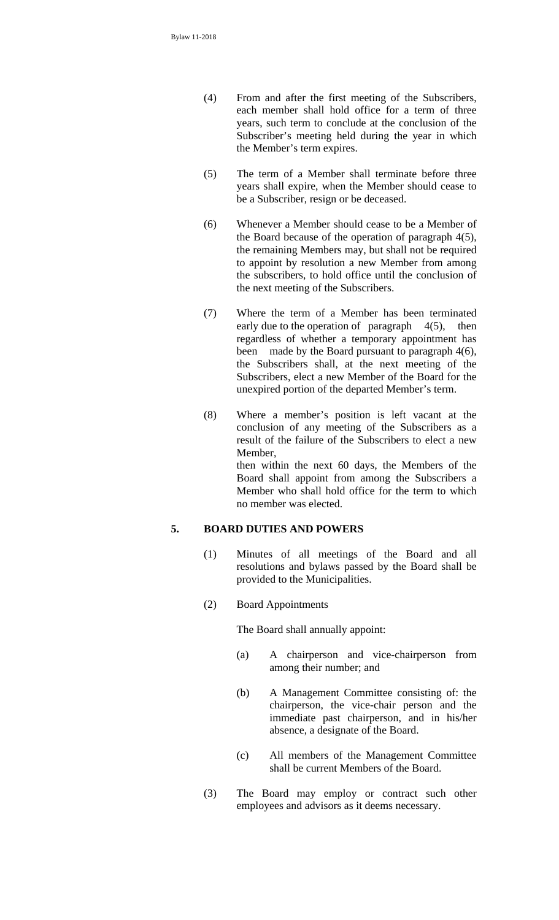- (4) From and after the first meeting of the Subscribers, each member shall hold office for a term of three years, such term to conclude at the conclusion of the Subscriber's meeting held during the year in which the Member's term expires.
- (5) The term of a Member shall terminate before three years shall expire, when the Member should cease to be a Subscriber, resign or be deceased.
- (6) Whenever a Member should cease to be a Member of the Board because of the operation of paragraph 4(5), the remaining Members may, but shall not be required to appoint by resolution a new Member from among the subscribers, to hold office until the conclusion of the next meeting of the Subscribers.
- (7) Where the term of a Member has been terminated early due to the operation of paragraph  $4(5)$ , then regardless of whether a temporary appointment has been made by the Board pursuant to paragraph 4(6), the Subscribers shall, at the next meeting of the Subscribers, elect a new Member of the Board for the unexpired portion of the departed Member's term.
- (8) Where a member's position is left vacant at the conclusion of any meeting of the Subscribers as a result of the failure of the Subscribers to elect a new Member, then within the next 60 days, the Members of the Board shall appoint from among the Subscribers a Member who shall hold office for the term to which no member was elected.

## **5. BOARD DUTIES AND POWERS**

- (1) Minutes of all meetings of the Board and all resolutions and bylaws passed by the Board shall be provided to the Municipalities.
- (2) Board Appointments

The Board shall annually appoint:

- (a) A chairperson and vice-chairperson from among their number; and
- (b) A Management Committee consisting of: the chairperson, the vice-chair person and the immediate past chairperson, and in his/her absence, a designate of the Board.
- (c) All members of the Management Committee shall be current Members of the Board.
- (3) The Board may employ or contract such other employees and advisors as it deems necessary.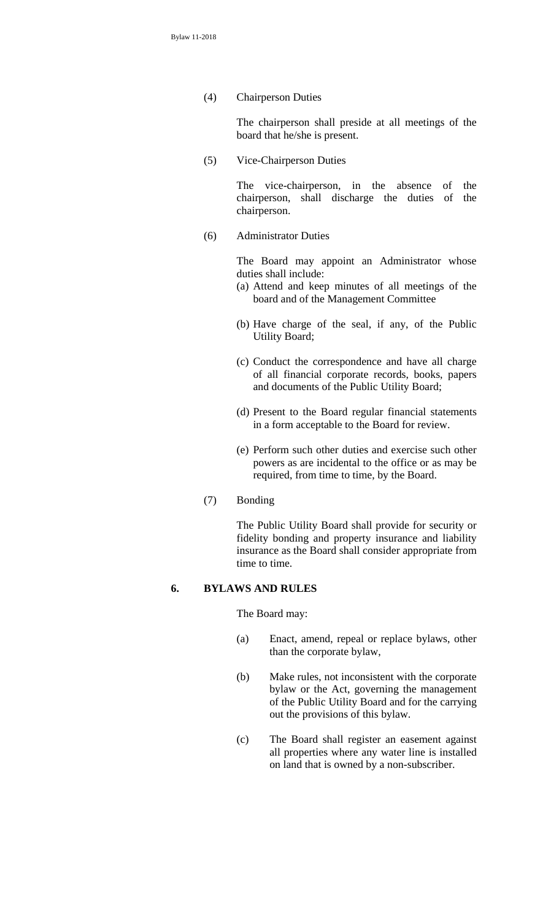(4) Chairperson Duties

The chairperson shall preside at all meetings of the board that he/she is present.

(5) Vice-Chairperson Duties

The vice-chairperson, in the absence of the chairperson, shall discharge the duties of the chairperson.

(6) Administrator Duties

The Board may appoint an Administrator whose duties shall include:

- (a) Attend and keep minutes of all meetings of the board and of the Management Committee
- (b) Have charge of the seal, if any, of the Public Utility Board;
- (c) Conduct the correspondence and have all charge of all financial corporate records, books, papers and documents of the Public Utility Board;
- (d) Present to the Board regular financial statements in a form acceptable to the Board for review.
- (e) Perform such other duties and exercise such other powers as are incidental to the office or as may be required, from time to time, by the Board.
- (7) Bonding

The Public Utility Board shall provide for security or fidelity bonding and property insurance and liability insurance as the Board shall consider appropriate from time to time.

#### **6. BYLAWS AND RULES**

The Board may:

- (a) Enact, amend, repeal or replace bylaws, other than the corporate bylaw,
- (b) Make rules, not inconsistent with the corporate bylaw or the Act, governing the management of the Public Utility Board and for the carrying out the provisions of this bylaw.
- (c) The Board shall register an easement against all properties where any water line is installed on land that is owned by a non-subscriber.